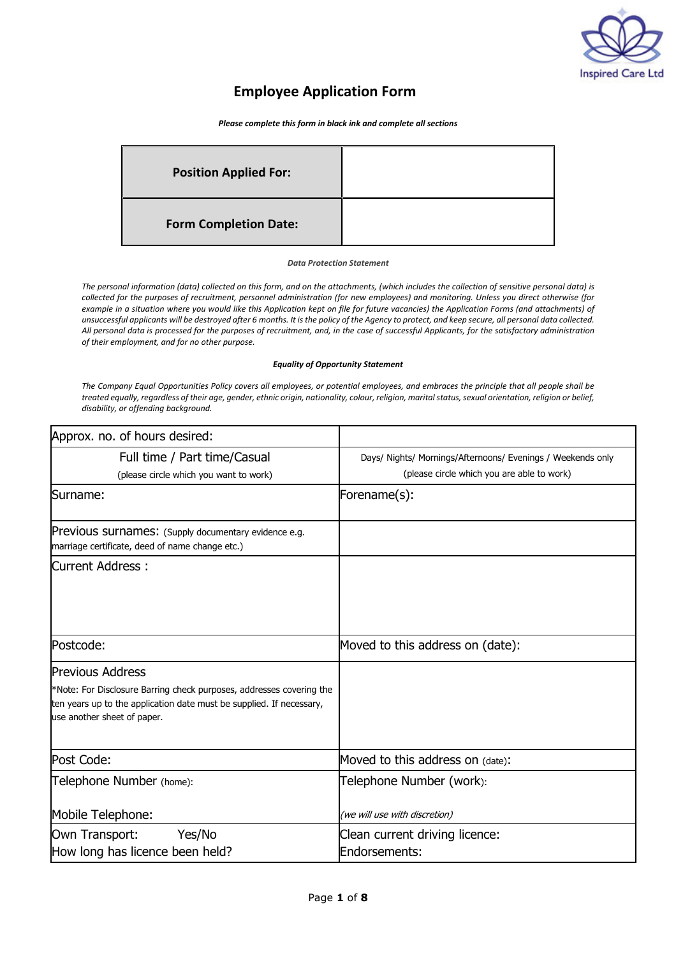

# **Employee Application Form**

*Please complete this form in black ink and complete all sections* 

| <b>Position Applied For:</b> |  |
|------------------------------|--|
| <b>Form Completion Date:</b> |  |

#### *Data Protection Statement*

*The personal information (data) collected on this form, and on the attachments, (which includes the collection of sensitive personal data) is collected for the purposes of recruitment, personnel administration (for new employees) and monitoring. Unless you direct otherwise (for example in a situation where you would like this Application kept on file for future vacancies) the Application Forms (and attachments) of unsuccessful applicants will be destroyed after 6 months. It is the policy of the Agency to protect, and keep secure, all personal data collected. All personal data is processed for the purposes of recruitment, and, in the case of successful Applicants, for the satisfactory administration of their employment, and for no other purpose.* 

#### *Equality of Opportunity Statement*

*The Company Equal Opportunities Policy covers all employees, or potential employees, and embraces the principle that all people shall be treated equally, regardless of their age, gender, ethnic origin, nationality, colour, religion, marital status, sexual orientation, religion or belief, disability, or offending background.* 

| Approx. no. of hours desired:                                                                                                                                               |                                                             |
|-----------------------------------------------------------------------------------------------------------------------------------------------------------------------------|-------------------------------------------------------------|
| Full time / Part time/Casual                                                                                                                                                | Days/ Nights/ Mornings/Afternoons/ Evenings / Weekends only |
| (please circle which you want to work)                                                                                                                                      | (please circle which you are able to work)                  |
| Surname:                                                                                                                                                                    | Forename(s):                                                |
| <b>Previous surnames:</b> (Supply documentary evidence e.g.<br>marriage certificate, deed of name change etc.)                                                              |                                                             |
| Current Address:                                                                                                                                                            |                                                             |
| Postcode:                                                                                                                                                                   | Moved to this address on (date):                            |
| <b>Previous Address</b>                                                                                                                                                     |                                                             |
| *Note: For Disclosure Barring check purposes, addresses covering the<br>ten years up to the application date must be supplied. If necessary,<br>use another sheet of paper. |                                                             |
| Post Code:                                                                                                                                                                  | Moved to this address on (date):                            |
| Telephone Number (home):                                                                                                                                                    | Telephone Number (work):                                    |
| Mobile Telephone:                                                                                                                                                           | (we will use with discretion)                               |
| Own Transport:<br>Yes/No<br>How long has licence been held?                                                                                                                 | Clean current driving licence:<br>Endorsements:             |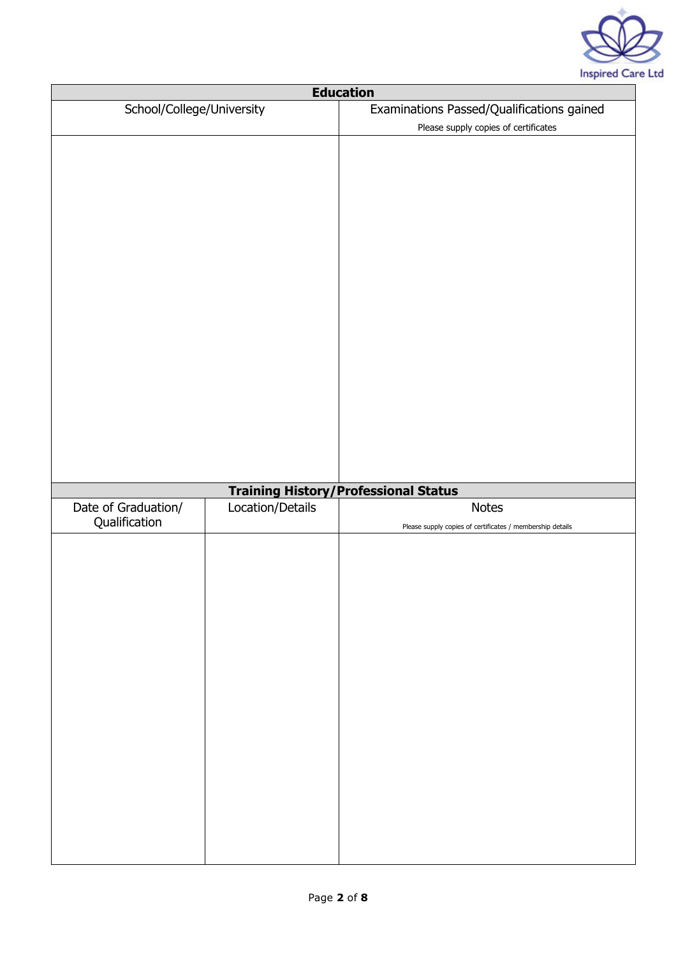

| <b>Education</b>          |                  |                                                           |
|---------------------------|------------------|-----------------------------------------------------------|
| School/College/University |                  | Examinations Passed/Qualifications gained                 |
|                           |                  | Please supply copies of certificates                      |
|                           |                  |                                                           |
|                           |                  |                                                           |
|                           |                  |                                                           |
|                           |                  | <b>Training History/Professional Status</b>               |
| Date of Graduation/       | Location/Details | <b>Notes</b>                                              |
| Qualification             |                  | Please supply copies of certificates / membership details |
|                           |                  |                                                           |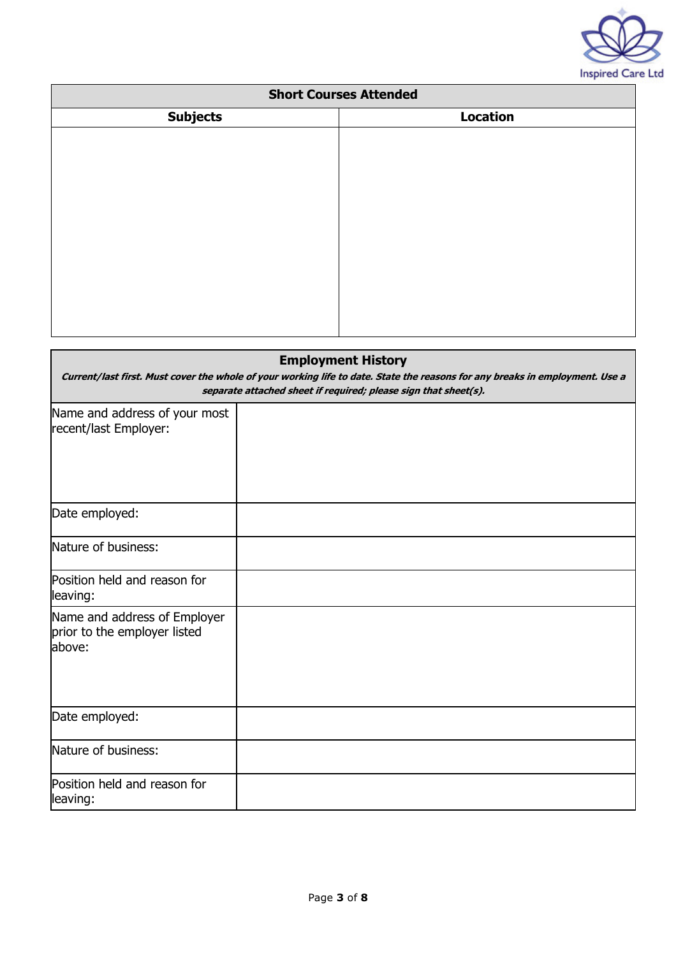

| <b>Short Courses Attended</b> |                 |
|-------------------------------|-----------------|
| <b>Subjects</b>               | <b>Location</b> |
|                               |                 |
|                               |                 |
|                               |                 |
|                               |                 |
|                               |                 |
|                               |                 |
|                               |                 |
|                               |                 |
|                               |                 |
|                               |                 |
|                               |                 |

| <b>Employment History</b><br>Current/last first. Must cover the whole of your working life to date. State the reasons for any breaks in employment. Use a<br>separate attached sheet if required; please sign that sheet(s). |  |  |
|------------------------------------------------------------------------------------------------------------------------------------------------------------------------------------------------------------------------------|--|--|
| Name and address of your most<br>recent/last Employer:                                                                                                                                                                       |  |  |
| Date employed:                                                                                                                                                                                                               |  |  |
| Nature of business:                                                                                                                                                                                                          |  |  |
| Position held and reason for<br>leaving:                                                                                                                                                                                     |  |  |
| Name and address of Employer<br>prior to the employer listed<br>above:                                                                                                                                                       |  |  |
| Date employed:                                                                                                                                                                                                               |  |  |
| Nature of business:                                                                                                                                                                                                          |  |  |
| Position held and reason for<br>leaving:                                                                                                                                                                                     |  |  |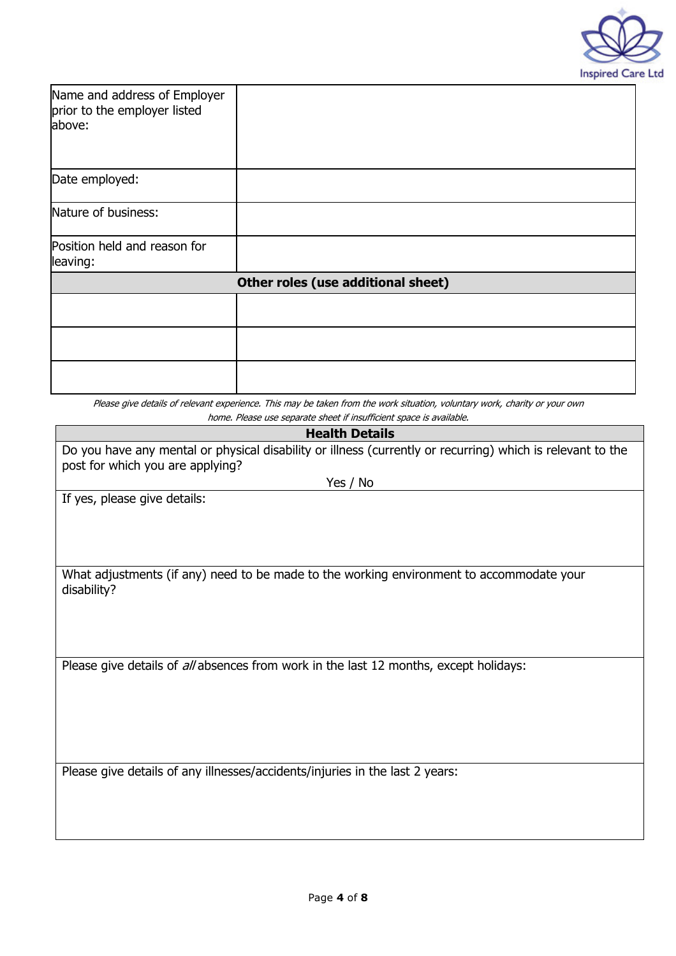

| Name and address of Employer<br>prior to the employer listed<br>above: |                                                                                                                                                                                                   |  |
|------------------------------------------------------------------------|---------------------------------------------------------------------------------------------------------------------------------------------------------------------------------------------------|--|
| Date employed:                                                         |                                                                                                                                                                                                   |  |
| Nature of business:                                                    |                                                                                                                                                                                                   |  |
| Position held and reason for<br>leaving:                               |                                                                                                                                                                                                   |  |
| Other roles (use additional sheet)                                     |                                                                                                                                                                                                   |  |
|                                                                        |                                                                                                                                                                                                   |  |
|                                                                        |                                                                                                                                                                                                   |  |
|                                                                        |                                                                                                                                                                                                   |  |
|                                                                        | Please give details of relevant experience. This may be taken from the work situation, voluntary work, charity or your own<br>home. Please use separate sheet if insufficient space is available. |  |

# **Health Details**

| Do you have any mental or physical disability or illness (currently or recurring) which is relevant to the<br>post for which you are applying? |
|------------------------------------------------------------------------------------------------------------------------------------------------|
| Yes / No                                                                                                                                       |

If yes, please give details:

What adjustments (if any) need to be made to the working environment to accommodate your disability?

Please give details of all absences from work in the last 12 months, except holidays:

Please give details of any illnesses/accidents/injuries in the last 2 years: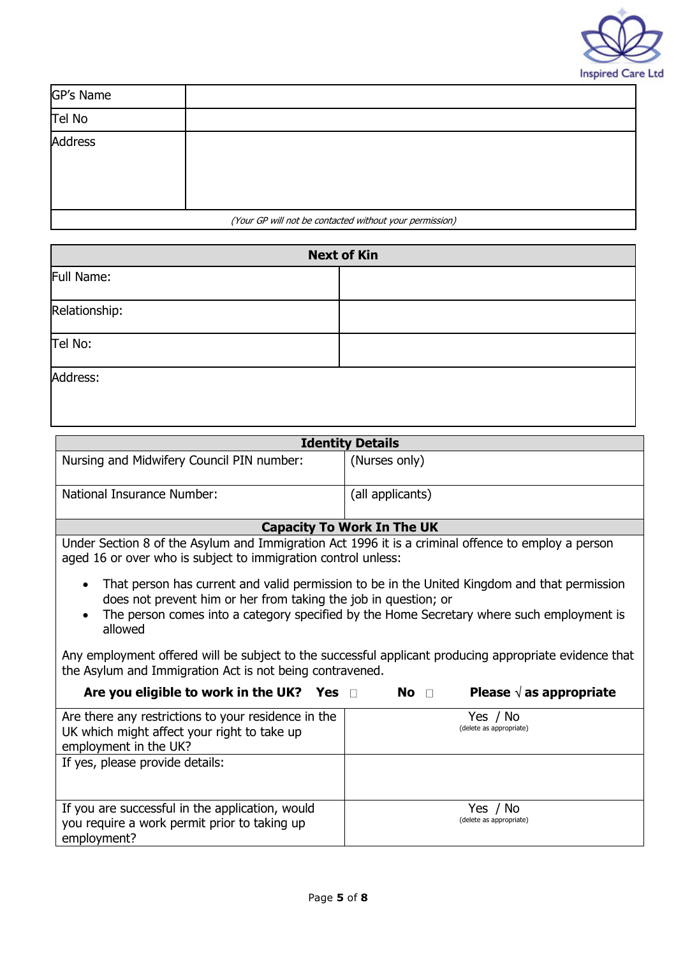

| GP's Name |                                                         |
|-----------|---------------------------------------------------------|
| Tel No    |                                                         |
| Address   |                                                         |
|           | (Your GP will not be contacted without your permission) |

| <b>Next of Kin</b> |  |
|--------------------|--|
| Full Name:         |  |
| Relationship:      |  |
| Tel No:            |  |
| Address:           |  |

| <b>Identity Details</b>                                                                                                                                                                                                                                                 |                                                 |  |
|-------------------------------------------------------------------------------------------------------------------------------------------------------------------------------------------------------------------------------------------------------------------------|-------------------------------------------------|--|
| Nursing and Midwifery Council PIN number:                                                                                                                                                                                                                               | (Nurses only)                                   |  |
| National Insurance Number:                                                                                                                                                                                                                                              | (all applicants)                                |  |
|                                                                                                                                                                                                                                                                         | <b>Capacity To Work In The UK</b>               |  |
| Under Section 8 of the Asylum and Immigration Act 1996 it is a criminal offence to employ a person<br>aged 16 or over who is subject to immigration control unless:                                                                                                     |                                                 |  |
| That person has current and valid permission to be in the United Kingdom and that permission<br>does not prevent him or her from taking the job in question; or<br>The person comes into a category specified by the Home Secretary where such employment is<br>allowed |                                                 |  |
| Any employment offered will be subject to the successful applicant producing appropriate evidence that<br>the Asylum and Immigration Act is not being contravened.                                                                                                      |                                                 |  |
| Are you eligible to work in the UK? Yes $\Box$                                                                                                                                                                                                                          | Please $\sqrt{ }$ as appropriate<br>$No$ $\Box$ |  |

| Are there any restrictions to your residence in the | Yes / No                |
|-----------------------------------------------------|-------------------------|
| UK which might affect your right to take up         | (delete as appropriate) |
| employment in the UK?                               |                         |
| If yes, please provide details:                     |                         |
|                                                     |                         |
|                                                     |                         |
| If you are successful in the application, would     | Yes / No                |
| you require a work permit prior to taking up        | (delete as appropriate) |
| employment?                                         |                         |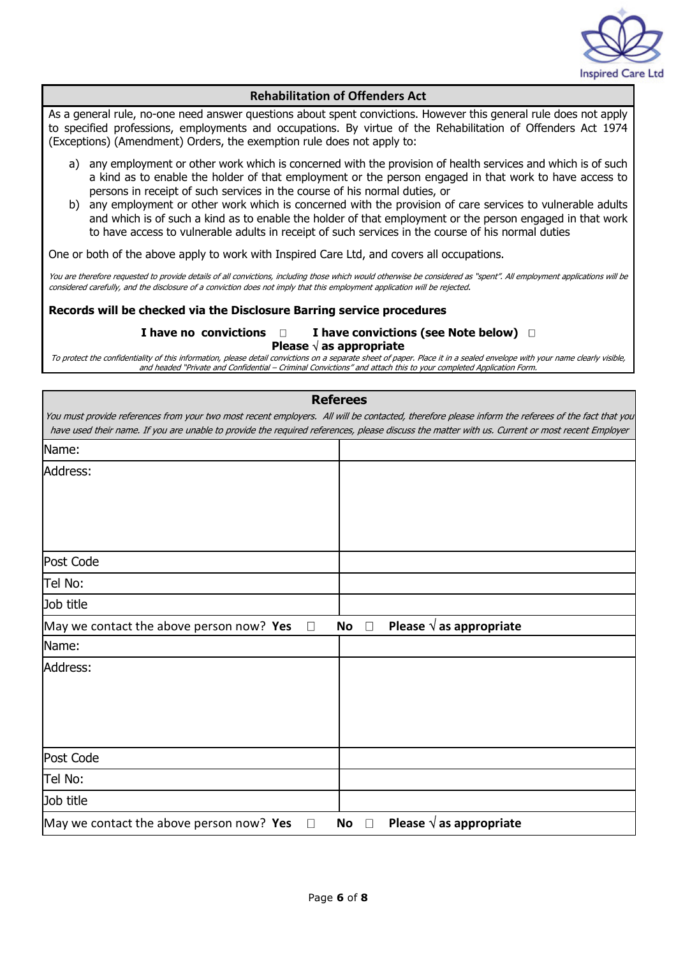

#### **Rehabilitation of Offenders Act**

As a general rule, no-one need answer questions about spent convictions. However this general rule does not apply to specified professions, employments and occupations. By virtue of the Rehabilitation of Offenders Act 1974 (Exceptions) (Amendment) Orders, the exemption rule does not apply to:

- a) any employment or other work which is concerned with the provision of health services and which is of such a kind as to enable the holder of that employment or the person engaged in that work to have access to persons in receipt of such services in the course of his normal duties, or
- b) any employment or other work which is concerned with the provision of care services to vulnerable adults and which is of such a kind as to enable the holder of that employment or the person engaged in that work to have access to vulnerable adults in receipt of such services in the course of his normal duties

One or both of the above apply to work with Inspired Care Ltd, and covers all occupations.

You are therefore requested to provide details of all convictions, including those which would otherwise be considered as "spent". All employment applications will be considered carefully, and the disclosure of a conviction does not imply that this employment application will be rejected.

#### **Records will be checked via the Disclosure Barring service procedures**

#### **I have no convictions D I have convictions (see Note below) D Please** √ **as appropriate**

To protect the confidentiality of this information, please detail convictions on a separate sheet of paper. Place it in a sealed envelope with your name clearly visible, and headed "Private and Confidential – Criminal Convictions" and attach this to your completed Application Form.

|                                                    | <b>Referees</b>                                                                                                                                   |
|----------------------------------------------------|---------------------------------------------------------------------------------------------------------------------------------------------------|
|                                                    | You must provide references from your two most recent employers. All will be contacted, therefore please inform the referees of the fact that you |
|                                                    | have used their name. If you are unable to provide the required references, please discuss the matter with us. Current or most recent Employer    |
| Name:                                              |                                                                                                                                                   |
| Address:                                           |                                                                                                                                                   |
|                                                    |                                                                                                                                                   |
|                                                    |                                                                                                                                                   |
|                                                    |                                                                                                                                                   |
| Post Code                                          |                                                                                                                                                   |
|                                                    |                                                                                                                                                   |
| Tel No:                                            |                                                                                                                                                   |
| Job title                                          |                                                                                                                                                   |
| May we contact the above person now? Yes<br>$\Box$ | Please $\sqrt{ }$ as appropriate<br>No<br>$\Box$                                                                                                  |
| Name:                                              |                                                                                                                                                   |
| Address:                                           |                                                                                                                                                   |
|                                                    |                                                                                                                                                   |
|                                                    |                                                                                                                                                   |
|                                                    |                                                                                                                                                   |
|                                                    |                                                                                                                                                   |
| Post Code                                          |                                                                                                                                                   |
| Tel No:                                            |                                                                                                                                                   |
| Job title                                          |                                                                                                                                                   |
| May we contact the above person now? Yes<br>$\Box$ | Please $\sqrt{ }$ as appropriate<br>No<br>$\Box$                                                                                                  |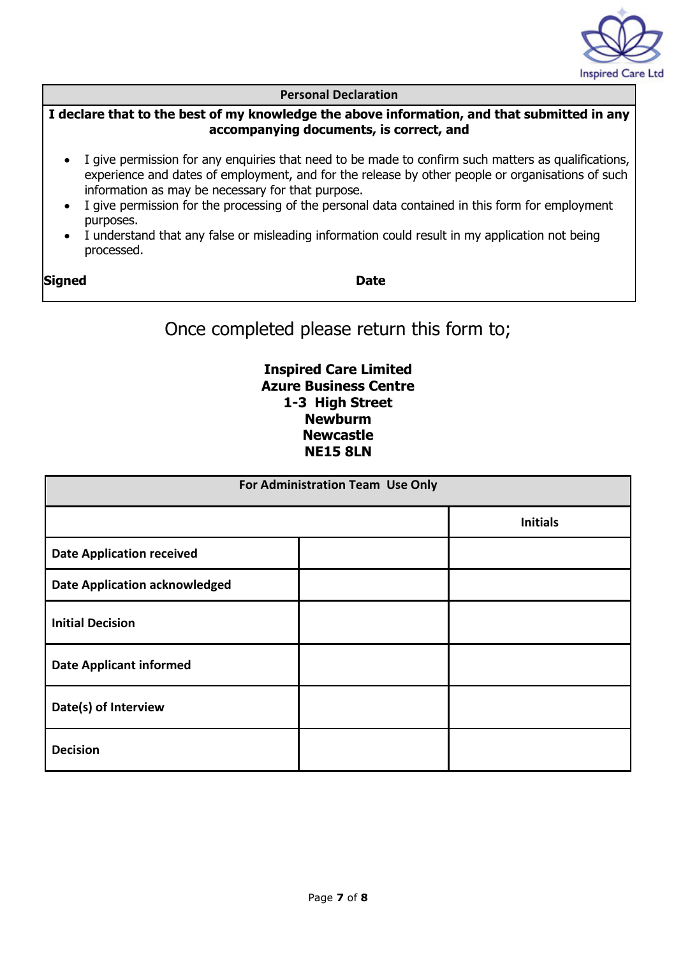

#### **Personal Declaration**

#### **I declare that to the best of my knowledge the above information, and that submitted in any accompanying documents, is correct, and**

- I give permission for any enquiries that need to be made to confirm such matters as qualifications, experience and dates of employment, and for the release by other people or organisations of such information as may be necessary for that purpose.
- I give permission for the processing of the personal data contained in this form for employment purposes.
- I understand that any false or misleading information could result in my application not being processed.

**Signed Date** 

Once completed please return this form to;

## **Inspired Care Limited Azure Business Centre 1-3 High Street Newburm Newcastle NE15 8LN**

| For Administration Team Use Only     |  |                 |  |
|--------------------------------------|--|-----------------|--|
|                                      |  | <b>Initials</b> |  |
| <b>Date Application received</b>     |  |                 |  |
| <b>Date Application acknowledged</b> |  |                 |  |
| <b>Initial Decision</b>              |  |                 |  |
| <b>Date Applicant informed</b>       |  |                 |  |
| Date(s) of Interview                 |  |                 |  |
| <b>Decision</b>                      |  |                 |  |